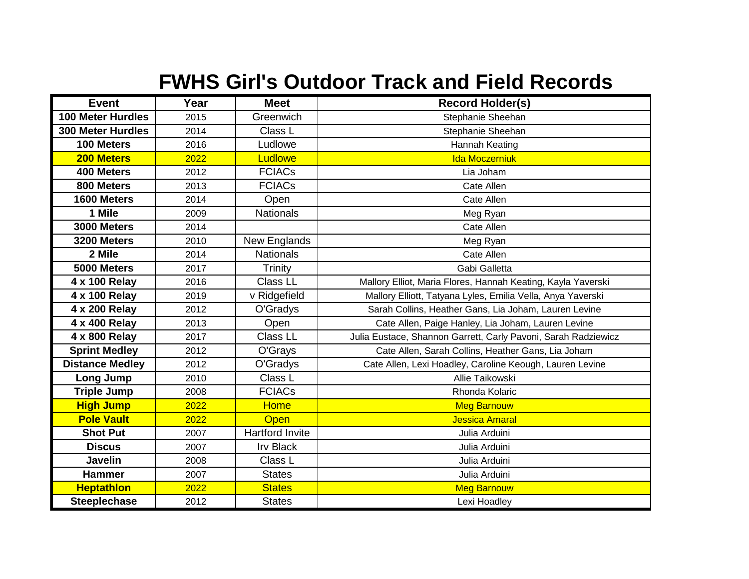## **FWHS Girl's Outdoor Track and Field Records**

| <b>Event</b>             | Year | <b>Meet</b>            | <b>Record Holder(s)</b>                                        |
|--------------------------|------|------------------------|----------------------------------------------------------------|
| <b>100 Meter Hurdles</b> | 2015 | Greenwich              | Stephanie Sheehan                                              |
| <b>300 Meter Hurdles</b> | 2014 | Class L                | Stephanie Sheehan                                              |
| 100 Meters               | 2016 | Ludlowe                | Hannah Keating                                                 |
| 200 Meters               | 2022 | Ludlowe                | <b>Ida Moczerniuk</b>                                          |
| 400 Meters               | 2012 | <b>FCIACs</b>          | Lia Joham                                                      |
| 800 Meters               | 2013 | <b>FCIACs</b>          | Cate Allen                                                     |
| 1600 Meters              | 2014 | Open                   | Cate Allen                                                     |
| 1 Mile                   | 2009 | <b>Nationals</b>       | Meg Ryan                                                       |
| 3000 Meters              | 2014 |                        | Cate Allen                                                     |
| 3200 Meters              | 2010 | New Englands           | Meg Ryan                                                       |
| 2 Mile                   | 2014 | <b>Nationals</b>       | Cate Allen                                                     |
| 5000 Meters              | 2017 | Trinity                | Gabi Galletta                                                  |
| 4 x 100 Relay            | 2016 | Class LL               | Mallory Elliot, Maria Flores, Hannah Keating, Kayla Yaverski   |
| 4 x 100 Relay            | 2019 | v Ridgefield           | Mallory Elliott, Tatyana Lyles, Emilia Vella, Anya Yaverski    |
| 4 x 200 Relay            | 2012 | O'Gradys               | Sarah Collins, Heather Gans, Lia Joham, Lauren Levine          |
| 4 x 400 Relay            | 2013 | Open                   | Cate Allen, Paige Hanley, Lia Joham, Lauren Levine             |
| 4 x 800 Relay            | 2017 | Class LL               | Julia Eustace, Shannon Garrett, Carly Pavoni, Sarah Radziewicz |
| <b>Sprint Medley</b>     | 2012 | O'Grays                | Cate Allen, Sarah Collins, Heather Gans, Lia Joham             |
| <b>Distance Medley</b>   | 2012 | O'Gradys               | Cate Allen, Lexi Hoadley, Caroline Keough, Lauren Levine       |
| Long Jump                | 2010 | Class L                | Allie Taikowski                                                |
| <b>Triple Jump</b>       | 2008 | <b>FCIACs</b>          | Rhonda Kolaric                                                 |
| <b>High Jump</b>         | 2022 | <b>Home</b>            | <b>Meg Barnouw</b>                                             |
| <b>Pole Vault</b>        | 2022 | <b>Open</b>            | Jessica Amaral                                                 |
| <b>Shot Put</b>          | 2007 | <b>Hartford Invite</b> | Julia Arduini                                                  |
| <b>Discus</b>            | 2007 | <b>Irv Black</b>       | Julia Arduini                                                  |
| <b>Javelin</b>           | 2008 | Class L                | Julia Arduini                                                  |
| <b>Hammer</b>            | 2007 | <b>States</b>          | Julia Arduini                                                  |
| <b>Heptathlon</b>        | 2022 | <b>States</b>          | <b>Meg Barnouw</b>                                             |
| <b>Steeplechase</b>      | 2012 | <b>States</b>          | Lexi Hoadley                                                   |